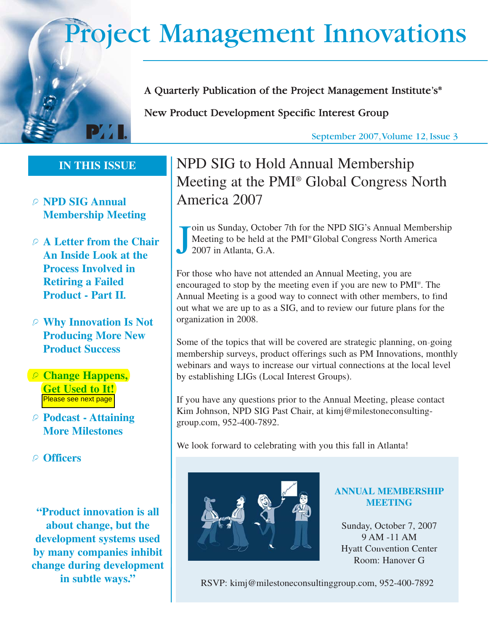# Project Management Innovations



A Quarterly Publication of the Project Management Institute's®

New Product Development Specific Interest Group

September 2007,Volume 12, Issue 3

## IN THIS ISSUE **IN THIS ISSUE**

- C **NPD SIG Annual Membership Meeting**
- C **A Letter from the Chair An Inside Look at the Process Involved in Retiring a Failed Product - Part II***.*
- C **Why Innovation Is Not Producing More New Product Success**
- C **Change Happens, Get Used to It!** Please see next page
- C **Podcast Attaining More Milestones**
- C **Officers**

**"Product innovation is all about change, but the development systems used by many companies inhibit change during development in subtle ways."**

## NPD SIG to Hold Annual Membership Meeting at the PMI ® Global Congress North America 2007

J oin us Sunday, October 7th for the NPD SIG's Annual Membership Meeting to be held at the PMI ® Global Congress North America 2007 in Atlanta, G.A.

For those who have not attended an Annual Meeting, you are encouraged to stop by the meeting even if you are new to PMI ®. The Annual Meeting is a good way to connect with other members, to find out what we are up to as a SIG, and to review our future plans for the organization in 2008.

Some of the topics that will be covered are strategic planning, on-going membership surveys, product offerings such as PM Innovations, monthly webinars and ways to increase our virtual connections at the local level by establishing LIGs (Local Interest Groups).

If you have any questions prior to the Annual Meeting, please contact Kim Johnson, NPD SIG Past Chair, at kimj@milestoneconsultinggroup.com, 952-400-7892.

We look forward to celebrating with you this fall in Atlanta!



#### **ANNUAL MEMBERSHIP MEETING**

Sunday, October 7, 2007 9 AM -11 AM Hyatt Convention Center Room: Hanover G

RSVP: kimj@milestoneconsultinggroup.com, 952-400-7892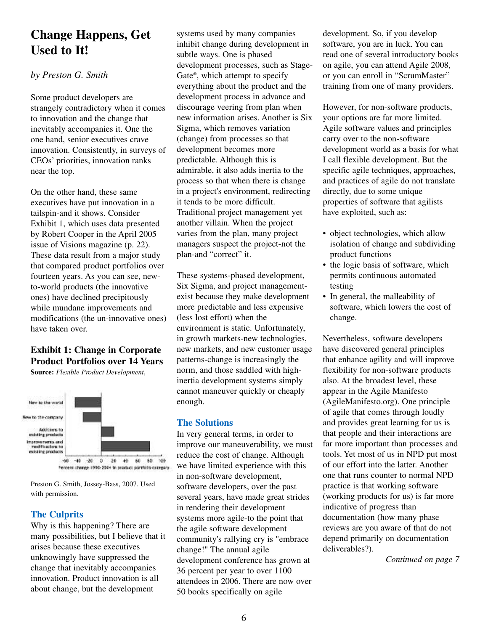## **Change Happens, Get Used to It!**

#### *by Preston G. Smith*

Some product developers are strangely contradictory when it comes to innovation and the change that inevitably accompanies it. One the one hand, senior executives crave innovation. Consistently, in surveys of CEOs' priorities, innovation ranks near the top.

On the other hand, these same executives have put innovation in a tailspin-and it shows. Consider Exhibit 1, which uses data presented by Robert Cooper in the April 2005 issue of Visions magazine (p. 22). These data result from a major study that compared product portfolios over fourteen years. As you can see, newto-world products (the innovative ones) have declined precipitously while mundane improvements and modifications (the un-innovative ones) have taken over.

#### **Exhibit 1: Change in Corporate Product Portfolios over 14 Years**





Preston G. Smith, Jossey-Bass, 2007. Used with permission.

#### **The Culprits**

Why is this happening? There are many possibilities, but I believe that it arises because these executives unknowingly have suppressed the change that inevitably accompanies innovation. Product innovation is all about change, but the development

systems used by many companies inhibit change during development in subtle ways. One is phased development processes, such as Stage-Gate®, which attempt to specify everything about the product and the development process in advance and discourage veering from plan when new information arises. Another is Six Sigma, which removes variation (change) from processes so that development becomes more predictable. Although this is admirable, it also adds inertia to the process so that when there is change in a project's environment, redirecting it tends to be more difficult. Traditional project management yet another villain. When the project varies from the plan, many project managers suspect the project-not the plan-and "correct" it.

These systems-phased development, Six Sigma, and project managementexist because they make development more predictable and less expensive (less lost effort) when the environment is static. Unfortunately, in growth markets-new technologies, new markets, and new customer usage patterns-change is increasingly the norm, and those saddled with highinertia development systems simply cannot maneuver quickly or cheaply enough.

#### **The Solutions**

In very general terms, in order to improve our maneuverability, we must reduce the cost of change. Although we have limited experience with this in non-software development, software developers, over the past several years, have made great strides in rendering their development systems more agile-to the point that the agile software development community's rallying cry is "embrace change!" The annual agile development conference has grown at 36 percent per year to over 1100 attendees in 2006. There are now over 50 books specifically on agile

development. So, if you develop software, you are in luck. You can read one of several introductory books on agile, you can attend Agile 2008, or you can enroll in "ScrumMaster" training from one of many providers.

However, for non-software products, your options are far more limited. Agile software values and principles carry over to the non-software development world as a basis for what I call flexible development. But the specific agile techniques, approaches, and practices of agile do not translate directly, due to some unique properties of software that agilists have exploited, such as:

- object technologies, which allow isolation of change and subdividing product functions
- the logic basis of software, which permits continuous automated testing
- In general, the malleability of software, which lowers the cost of change.

Nevertheless, software developers have discovered general principles that enhance agility and will improve flexibility for non-software products also. At the broadest level, these appear in the Agile Manifesto (AgileManifesto.org). One principle of agile that comes through loudly and provides great learning for us is that people and their interactions are far more important than processes and tools. Yet most of us in NPD put most of our effort into the latter. Another one that runs counter to normal NPD practice is that working software (working products for us) is far more indicative of progress than documentation (how many phase reviews are you aware of that do not depend primarily on documentation deliverables?).

*Continued on page 7*